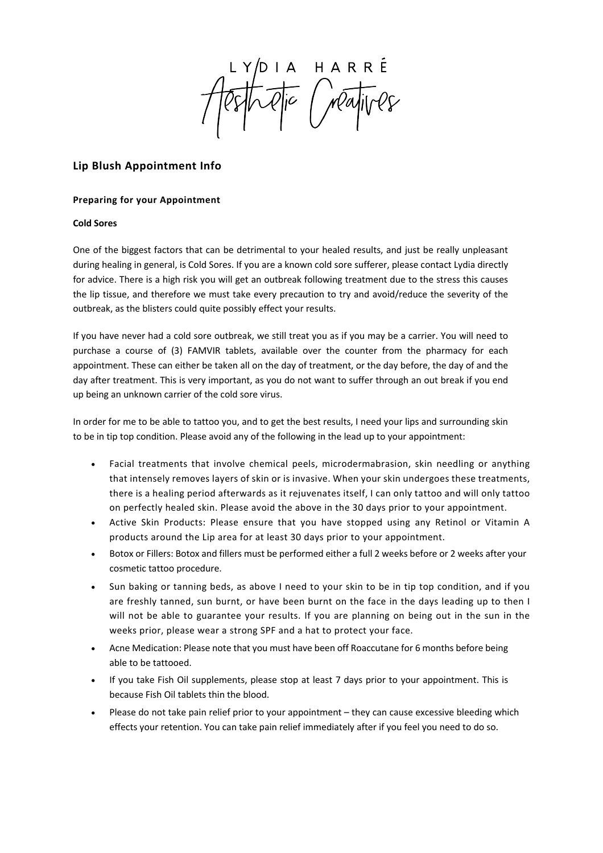LYDIA HARRE<br>PSTORTE (MayIVes

# **Lip Blush Appointment Info**

## **Preparing for your Appointment**

# **Cold Sores**

One of the biggest factors that can be detrimental to your healed results, and just be really unpleasant during healing in general, is Cold Sores. If you are a known cold sore sufferer, please contact Lydia directly for advice. There is a high risk you will get an outbreak following treatment due to the stress this causes the lip tissue, and therefore we must take every precaution to try and avoid/reduce the severity of the outbreak, as the blisters could quite possibly effect your results.

If you have never had a cold sore outbreak, we still treat you as if you may be a carrier. You will need to purchase a course of (3) FAMVIR tablets, available over the counter from the pharmacy for each appointment. These can either be taken all on the day of treatment, or the day before, the day of and the day after treatment. This is very important, as you do not want to suffer through an out break if you end up being an unknown carrier of the cold sore virus.

In order for me to be able to tattoo you, and to get the best results, I need your lips and surrounding skin to be in tip top condition. Please avoid any of the following in the lead up to your appointment:

- Facial treatments that involve chemical peels, microdermabrasion, skin needling or anything that intensely removes layers of skin or is invasive. When your skin undergoes these treatments, there is a healing period afterwards as it rejuvenates itself, I can only tattoo and will only tattoo on perfectly healed skin. Please avoid the above in the 30 days prior to your appointment.
- Active Skin Products: Please ensure that you have stopped using any Retinol or Vitamin A products around the Lip area for at least 30 days prior to your appointment.
- Botox or Fillers: Botox and fillers must be performed either a full 2 weeks before or 2 weeks after your cosmetic tattoo procedure.
- Sun baking or tanning beds, as above I need to your skin to be in tip top condition, and if you are freshly tanned, sun burnt, or have been burnt on the face in the days leading up to then I will not be able to guarantee your results. If you are planning on being out in the sun in the weeks prior, please wear a strong SPF and a hat to protect your face.
- Acne Medication: Please note that you must have been off Roaccutane for 6 months before being able to be tattooed.
- If you take Fish Oil supplements, please stop at least 7 days prior to your appointment. This is because Fish Oil tablets thin the blood.
- Please do not take pain relief prior to your appointment they can cause excessive bleeding which effects your retention. You can take pain relief immediately after if you feel you need to do so.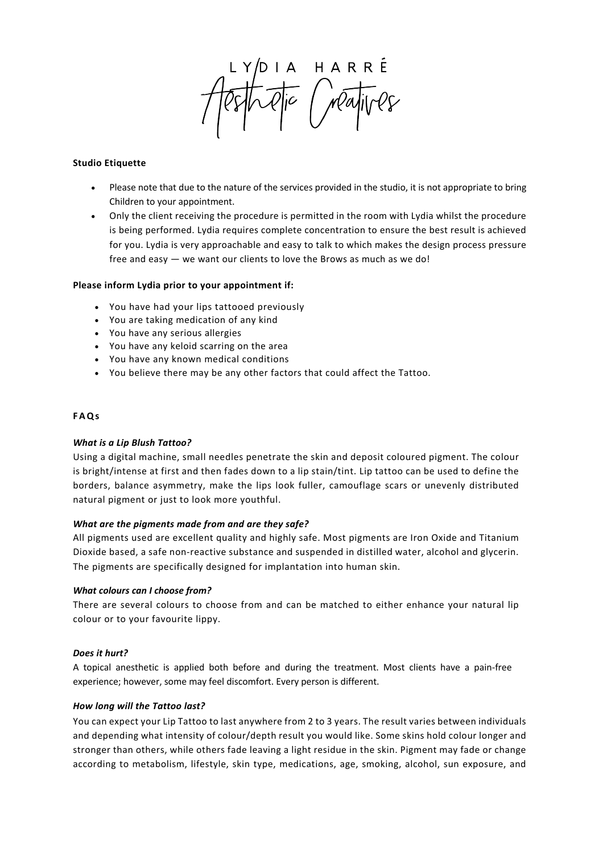IA HARRÉ<br>Qic Mayives

# **Studio Etiquette**

- Please note that due to the nature of the services provided in the studio, it is not appropriate to bring Children to your appointment.
- Only the client receiving the procedure is permitted in the room with Lydia whilst the procedure is being performed. Lydia requires complete concentration to ensure the best result is achieved for you. Lydia is very approachable and easy to talk to which makes the design process pressure free and easy — we want our clients to love the Brows as much as we do!

# **Please inform Lydia prior to your appointment if:**

- You have had your lips tattooed previously
- You are taking medication of any kind
- You have any serious allergies
- You have any keloid scarring on the area
- You have any known medical conditions
- You believe there may be any other factors that could affect the Tattoo.

# **FAQs**

#### *What is a Lip Blush Tattoo?*

Using a digital machine, small needles penetrate the skin and deposit coloured pigment. The colour is bright/intense at first and then fades down to a lip stain/tint. Lip tattoo can be used to define the borders, balance asymmetry, make the lips look fuller, camouflage scars or unevenly distributed natural pigment or just to look more youthful.

#### *What are the pigments made from and are they safe?*

All pigments used are excellent quality and highly safe. Most pigments are Iron Oxide and Titanium Dioxide based, a safe non-reactive substance and suspended in distilled water, alcohol and glycerin. The pigments are specifically designed for implantation into human skin.

#### *What colours can I choose from?*

There are several colours to choose from and can be matched to either enhance your natural lip colour or to your favourite lippy.

#### *Does it hurt?*

A topical anesthetic is applied both before and during the treatment. Most clients have a pain-free experience; however, some may feel discomfort. Every person is different.

## *How long will the Tattoo last?*

You can expect your Lip Tattoo to last anywhere from 2 to 3 years. The result varies between individuals and depending what intensity of colour/depth result you would like. Some skins hold colour longer and stronger than others, while others fade leaving a light residue in the skin. Pigment may fade or change according to metabolism, lifestyle, skin type, medications, age, smoking, alcohol, sun exposure, and